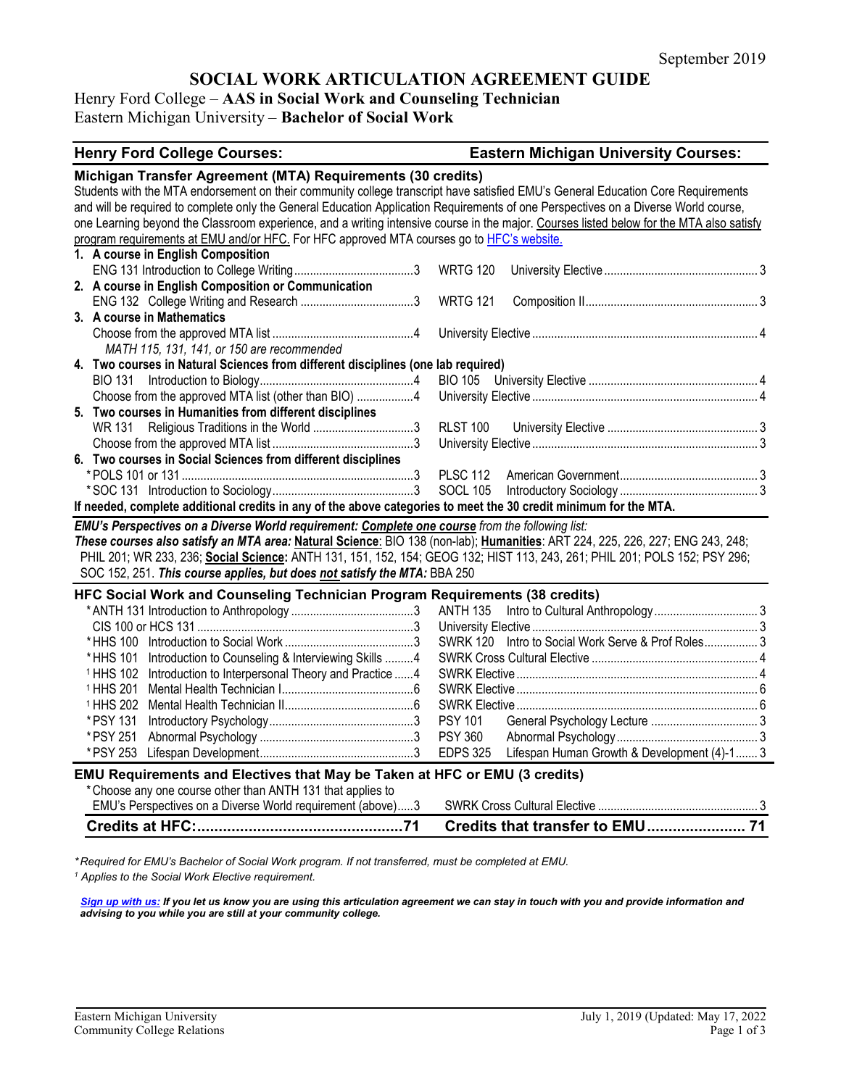# **SOCIAL WORK ARTICULATION AGREEMENT GUIDE**

# Henry Ford College – **AAS in Social Work and Counseling Technician** Eastern Michigan University – **Bachelor of Social Work**

| <b>Henry Ford College Courses:</b>                                                                                                                                                                                                                                                                                                                                                                                                                                                                                                                                              | <b>Eastern Michigan University Courses:</b>                    |
|---------------------------------------------------------------------------------------------------------------------------------------------------------------------------------------------------------------------------------------------------------------------------------------------------------------------------------------------------------------------------------------------------------------------------------------------------------------------------------------------------------------------------------------------------------------------------------|----------------------------------------------------------------|
| Michigan Transfer Agreement (MTA) Requirements (30 credits)<br>Students with the MTA endorsement on their community college transcript have satisfied EMU's General Education Core Requirements<br>and will be required to complete only the General Education Application Requirements of one Perspectives on a Diverse World course,<br>one Learning beyond the Classroom experience, and a writing intensive course in the major. Courses listed below for the MTA also satisfy<br>program requirements at EMU and/or HFC. For HFC approved MTA courses go to HFC's website. |                                                                |
| 1. A course in English Composition                                                                                                                                                                                                                                                                                                                                                                                                                                                                                                                                              |                                                                |
|                                                                                                                                                                                                                                                                                                                                                                                                                                                                                                                                                                                 |                                                                |
| 2. A course in English Composition or Communication                                                                                                                                                                                                                                                                                                                                                                                                                                                                                                                             |                                                                |
|                                                                                                                                                                                                                                                                                                                                                                                                                                                                                                                                                                                 | <b>WRTG 121</b>                                                |
| 3. A course in Mathematics                                                                                                                                                                                                                                                                                                                                                                                                                                                                                                                                                      |                                                                |
|                                                                                                                                                                                                                                                                                                                                                                                                                                                                                                                                                                                 |                                                                |
| MATH 115, 131, 141, or 150 are recommended                                                                                                                                                                                                                                                                                                                                                                                                                                                                                                                                      |                                                                |
| 4. Two courses in Natural Sciences from different disciplines (one lab required)                                                                                                                                                                                                                                                                                                                                                                                                                                                                                                |                                                                |
|                                                                                                                                                                                                                                                                                                                                                                                                                                                                                                                                                                                 |                                                                |
| Choose from the approved MTA list (other than BIO) 4                                                                                                                                                                                                                                                                                                                                                                                                                                                                                                                            |                                                                |
| 5. Two courses in Humanities from different disciplines                                                                                                                                                                                                                                                                                                                                                                                                                                                                                                                         |                                                                |
| WR 131                                                                                                                                                                                                                                                                                                                                                                                                                                                                                                                                                                          | <b>RLST 100</b>                                                |
|                                                                                                                                                                                                                                                                                                                                                                                                                                                                                                                                                                                 |                                                                |
| 6. Two courses in Social Sciences from different disciplines                                                                                                                                                                                                                                                                                                                                                                                                                                                                                                                    |                                                                |
|                                                                                                                                                                                                                                                                                                                                                                                                                                                                                                                                                                                 | <b>PLSC 112</b>                                                |
|                                                                                                                                                                                                                                                                                                                                                                                                                                                                                                                                                                                 | <b>SOCL 105</b>                                                |
| If needed, complete additional credits in any of the above categories to meet the 30 credit minimum for the MTA.                                                                                                                                                                                                                                                                                                                                                                                                                                                                |                                                                |
| EMU's Perspectives on a Diverse World requirement: Complete one course from the following list:<br>These courses also satisfy an MTA area: Natural Science: BIO 138 (non-lab); Humanities: ART 224, 225, 226, 227; ENG 243, 248;<br>PHIL 201; WR 233, 236; Social Science: ANTH 131, 151, 152, 154; GEOG 132; HIST 113, 243, 261; PHIL 201; POLS 152; PSY 296;<br>SOC 152, 251. This course applies, but does not satisfy the MTA: BBA 250                                                                                                                                      |                                                                |
| HFC Social Work and Counseling Technician Program Requirements (38 credits)                                                                                                                                                                                                                                                                                                                                                                                                                                                                                                     |                                                                |
|                                                                                                                                                                                                                                                                                                                                                                                                                                                                                                                                                                                 | ANTH 135                                                       |
|                                                                                                                                                                                                                                                                                                                                                                                                                                                                                                                                                                                 |                                                                |
|                                                                                                                                                                                                                                                                                                                                                                                                                                                                                                                                                                                 | SWRK 120 Intro to Social Work Serve & Prof Roles 3             |
| Introduction to Counseling & Interviewing Skills 4<br>* HHS 101                                                                                                                                                                                                                                                                                                                                                                                                                                                                                                                 |                                                                |
| Introduction to Interpersonal Theory and Practice 4<br><sup>1</sup> HHS 102                                                                                                                                                                                                                                                                                                                                                                                                                                                                                                     |                                                                |
| <sup>1</sup> HHS 201                                                                                                                                                                                                                                                                                                                                                                                                                                                                                                                                                            |                                                                |
| <sup>1</sup> HHS 202                                                                                                                                                                                                                                                                                                                                                                                                                                                                                                                                                            |                                                                |
| * PSY 131                                                                                                                                                                                                                                                                                                                                                                                                                                                                                                                                                                       | <b>PSY 101</b>                                                 |
| * PSY 251                                                                                                                                                                                                                                                                                                                                                                                                                                                                                                                                                                       | <b>PSY 360</b>                                                 |
| * PSY 253                                                                                                                                                                                                                                                                                                                                                                                                                                                                                                                                                                       | Lifespan Human Growth & Development (4)-1 3<br><b>EDPS 325</b> |
| EMU Requirements and Electives that May be Taken at HFC or EMU (3 credits)                                                                                                                                                                                                                                                                                                                                                                                                                                                                                                      |                                                                |
| * Choose any one course other than ANTH 131 that applies to                                                                                                                                                                                                                                                                                                                                                                                                                                                                                                                     |                                                                |
| EMU's Perspectives on a Diverse World requirement (above)3                                                                                                                                                                                                                                                                                                                                                                                                                                                                                                                      |                                                                |
|                                                                                                                                                                                                                                                                                                                                                                                                                                                                                                                                                                                 | Credits that transfer to EMU 71                                |

*\* Required for EMU's Bachelor of Social Work program. If not transferred, must be completed at EMU. <sup>1</sup> Applies to the Social Work Elective requirement.*

*[Sign up with us:](https://www.emich.edu/ccr/articulation-agreements/signup.php) If you let us know you are using this articulation agreement we can stay in touch with you and provide information and advising to you while you are still at your community college.*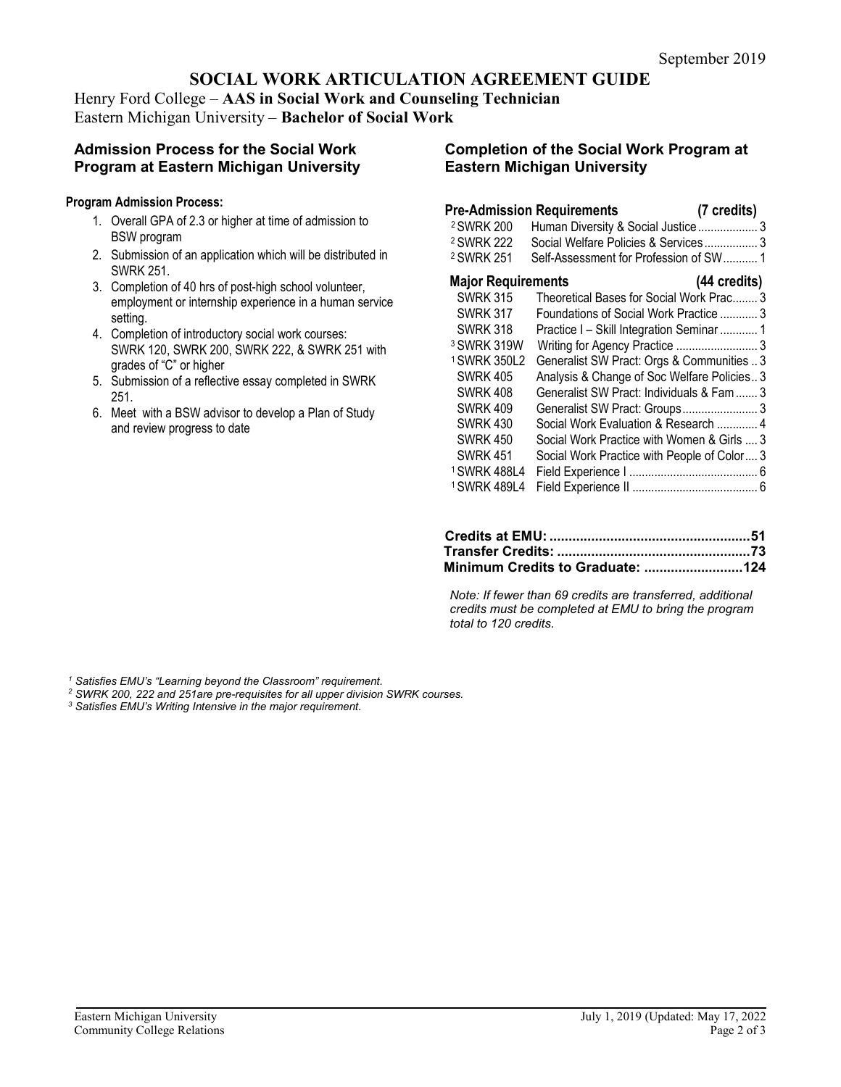# **SOCIAL WORK ARTICULATION AGREEMENT GUIDE**

Henry Ford College – **AAS in Social Work and Counseling Technician** Eastern Michigan University – **Bachelor of Social Work**

# **Admission Process for the Social Work Program at Eastern Michigan University**

#### **Program Admission Process:**

- 1. Overall GPA of 2.3 or higher at time of admission to BSW program
- 2. Submission of an application which will be distributed in SWRK 251.
- 3. Completion of 40 hrs of post-high school volunteer, employment or internship experience in a human service setting.
- 4. Completion of introductory social work courses: SWRK 120, SWRK 200, SWRK 222, & SWRK 251 with grades of "C" or higher
- 5. Submission of a reflective essay completed in SWRK 251.
- 6. Meet with a BSW advisor to develop a Plan of Study and review progress to date

### **Completion of the Social Work Program at Eastern Michigan University**

# **Pre-Admission Requirements (7 credits)**

| Human Diversity & Social Justice 3          |  |
|---------------------------------------------|--|
| Social Welfare Policies & Services 3        |  |
| Self-Assessment for Profession of SW 1      |  |
| <b>Major Requirements</b><br>(44 credits)   |  |
| Theoretical Bases for Social Work Prac 3    |  |
| Foundations of Social Work Practice  3      |  |
| Practice I - Skill Integration Seminar  1   |  |
| Writing for Agency Practice  3              |  |
| Generalist SW Pract: Orgs & Communities  3  |  |
| Analysis & Change of Soc Welfare Policies 3 |  |
| Generalist SW Pract: Individuals & Fam  3   |  |
| Generalist SW Pract: Groups 3               |  |
| Social Work Evaluation & Research  4        |  |
| Social Work Practice with Women & Girls  3  |  |
| Social Work Practice with People of Color 3 |  |
|                                             |  |
|                                             |  |
|                                             |  |

*Note: If fewer than 69 credits are transferred, additional credits must be completed at EMU to bring the program total to 120 credits.*

*<sup>1</sup> Satisfies EMU's "Learning beyond the Classroom" requirement.*

- *<sup>2</sup> SWRK 200, 222 and 251are pre-requisites for all upper division SWRK courses. 3 Satisfies EMU's Writing Intensive in the major requirement.*
-